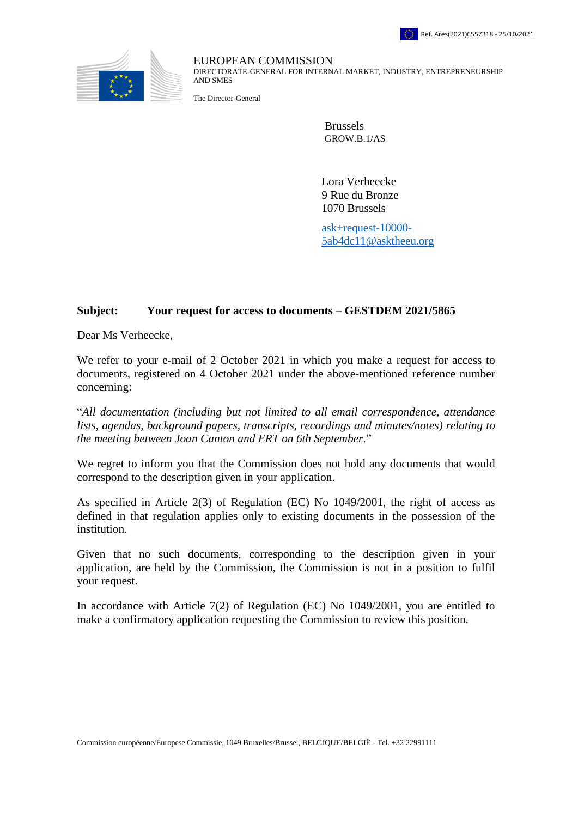

EUROPEAN COMMISSION DIRECTORATE-GENERAL FOR INTERNAL MARKET, INDUSTRY, ENTREPRENEURSHIP AND SMES

The Director-General

Brussels GROW.B.1/AS

Lora Verheecke 9 Rue du Bronze 1070 Brussels

[ask+request-10000-](mailto:xxxxxxxxxxxxxxxxxxxxxxxxxx@xxxxxxxx.xxx) [5ab4dc11@asktheeu.org](mailto:xxxxxxxxxxxxxxxxxxxxxxxxxx@xxxxxxxx.xxx)

## **Subject: Your request for access to documents – GESTDEM 2021/5865**

Dear Ms Verheecke,

We refer to your e-mail of 2 October 2021 in which you make a request for access to documents, registered on 4 October 2021 under the above-mentioned reference number concerning:

"*All documentation (including but not limited to all email correspondence, attendance lists, agendas, background papers, transcripts, recordings and minutes/notes) relating to the meeting between Joan Canton and ERT on 6th September*."

We regret to inform you that the Commission does not hold any documents that would correspond to the description given in your application.

As specified in Article 2(3) of Regulation (EC) No 1049/2001, the right of access as defined in that regulation applies only to existing documents in the possession of the institution.

Given that no such documents, corresponding to the description given in your application, are held by the Commission, the Commission is not in a position to fulfil your request.

In accordance with Article 7(2) of Regulation (EC) No 1049/2001, you are entitled to make a confirmatory application requesting the Commission to review this position.